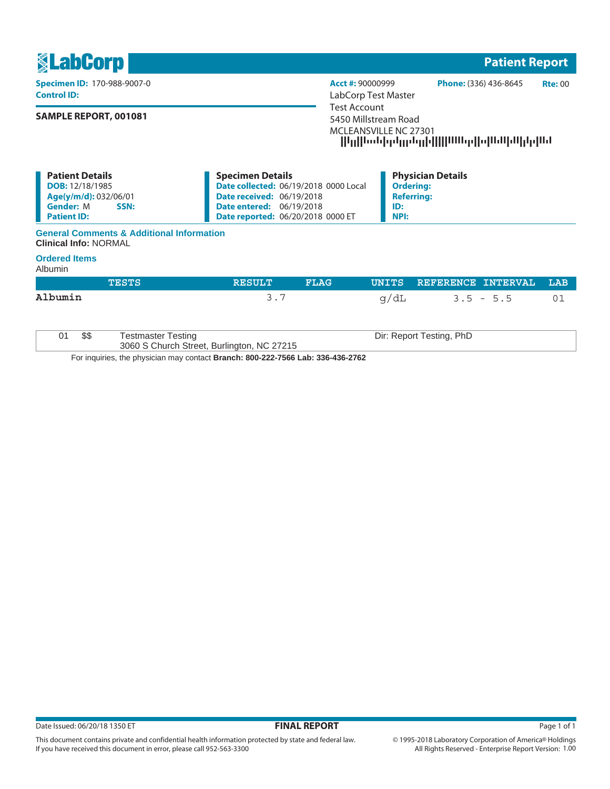| <b><u>SLabCorp</u></b>                                                                                                      |                                                                                                                                                                                            | <b>Patient Report</b>                                                                                       |  |  |
|-----------------------------------------------------------------------------------------------------------------------------|--------------------------------------------------------------------------------------------------------------------------------------------------------------------------------------------|-------------------------------------------------------------------------------------------------------------|--|--|
| <b>Specimen ID: 170-988-9007-0</b><br><b>Control ID:</b>                                                                    | Acct #: 90000999<br>LabCorp Test Master                                                                                                                                                    | Phone: (336) 436-8645<br><b>Rte: 00</b>                                                                     |  |  |
| <b>SAMPLE REPORT, 001081</b>                                                                                                |                                                                                                                                                                                            | Test Account<br>5450 Millstream Road<br>MCLEANSVILLE NC 27301<br>  Կլ  Կանիթելընդլի     ՍԱնթ  ս ԱՍիՍ լեր ԱՄ |  |  |
| <b>Patient Details</b><br><b>DOB:</b> 12/18/1985<br>Age(y/m/d): 032/06/01<br><b>Gender: M</b><br>SSN:<br><b>Patient ID:</b> | <b>Specimen Details</b><br><b>Date collected: 06/19/2018 0000 Local</b><br><b>Date received: 06/19/2018</b><br><b>Date entered: 06/19/2018</b><br><b>Date reported: 06/20/2018 0000 ET</b> | <b>Physician Details</b><br><b>Ordering:</b><br><b>Referring:</b><br>ID:<br><b>NPI:</b>                     |  |  |

## **General Comments & Additional Information Clinical Info:** NORMAL

## **Ordered Items**

Albumin

|         |      | <b>TESTS</b>                                                            | <b>RESULT</b> | <b>FLAG</b> |      | UNITS REFERENCE INTERVAL | LAB |
|---------|------|-------------------------------------------------------------------------|---------------|-------------|------|--------------------------|-----|
| Albumin |      |                                                                         | 3.7           |             | q/dL | $3.5 - 5.5$              | 01  |
| 01      | \$\$ | <b>Testmaster Testing</b><br>3060 S Church Street, Burlington, NC 27215 |               |             |      | Dir: Report Testing, PhD |     |

For inquiries, the physician may contact **Branch: 800-222-7566 Lab: 336-436-2762**

This document contains private and confidential health information protected by state and federal law.

If you have received this document in error, please call 952-563-3300